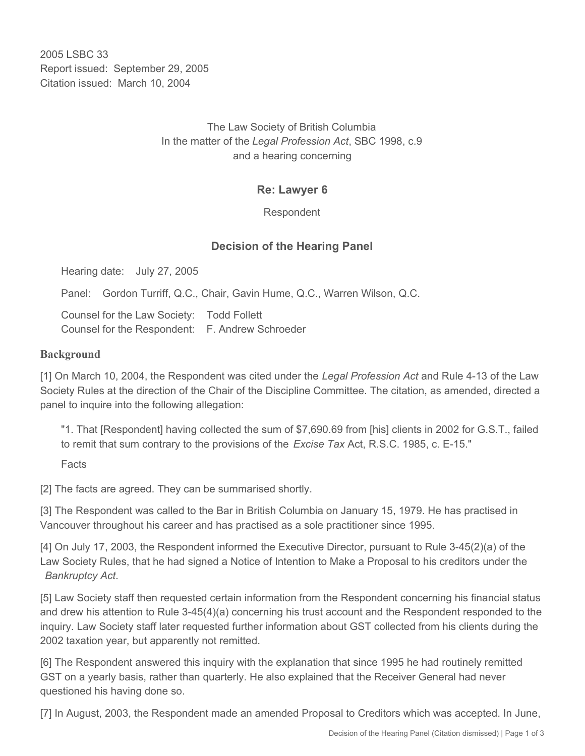2005 LSBC 33 Report issued: September 29, 2005 Citation issued: March 10, 2004

## The Law Society of British Columbia In the matter of the *Legal Profession Act*, SBC 1998, c.9 and a hearing concerning

## **Re: Lawyer 6**

Respondent

## **Decision of the Hearing Panel**

Hearing date: July 27, 2005

Panel: Gordon Turriff, Q.C., Chair, Gavin Hume, Q.C., Warren Wilson, Q.C.

Counsel for the Law Society: Todd Follett Counsel for the Respondent: F. Andrew Schroeder

#### **Background**

[1] On March 10, 2004, the Respondent was cited under the *Legal Profession Act* and Rule 4-13 of the Law Society Rules at the direction of the Chair of the Discipline Committee. The citation, as amended, directed a panel to inquire into the following allegation:

"1. That [Respondent] having collected the sum of \$7,690.69 from [his] clients in 2002 for G.S.T., failed to remit that sum contrary to the provisions of the *Excise Tax* Act, R.S.C. 1985, c. E-15."

Facts

[2] The facts are agreed. They can be summarised shortly.

[3] The Respondent was called to the Bar in British Columbia on January 15, 1979. He has practised in Vancouver throughout his career and has practised as a sole practitioner since 1995.

[4] On July 17, 2003, the Respondent informed the Executive Director, pursuant to Rule 3-45(2)(a) of the Law Society Rules, that he had signed a Notice of Intention to Make a Proposal to his creditors under the *Bankruptcy Act*.

[5] Law Society staff then requested certain information from the Respondent concerning his financial status and drew his attention to Rule 3-45(4)(a) concerning his trust account and the Respondent responded to the inquiry. Law Society staff later requested further information about GST collected from his clients during the 2002 taxation year, but apparently not remitted.

[6] The Respondent answered this inquiry with the explanation that since 1995 he had routinely remitted GST on a yearly basis, rather than quarterly. He also explained that the Receiver General had never questioned his having done so.

[7] In August, 2003, the Respondent made an amended Proposal to Creditors which was accepted. In June,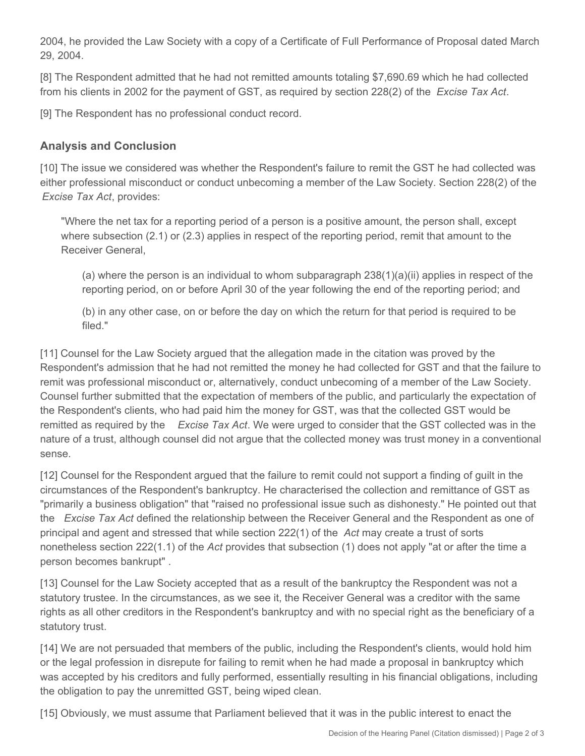2004, he provided the Law Society with a copy of a Certificate of Full Performance of Proposal dated March 29, 2004.

[8] The Respondent admitted that he had not remitted amounts totaling \$7,690.69 which he had collected from his clients in 2002 for the payment of GST, as required by section 228(2) of the *Excise Tax Act*.

[9] The Respondent has no professional conduct record.

# **Analysis and Conclusion**

[10] The issue we considered was whether the Respondent's failure to remit the GST he had collected was either professional misconduct or conduct unbecoming a member of the Law Society. Section 228(2) of the *Excise Tax Act*, provides:

"Where the net tax for a reporting period of a person is a positive amount, the person shall, except where subsection (2.1) or (2.3) applies in respect of the reporting period, remit that amount to the Receiver General,

(a) where the person is an individual to whom subparagraph  $238(1)(a)(ii)$  applies in respect of the reporting period, on or before April 30 of the year following the end of the reporting period; and

(b) in any other case, on or before the day on which the return for that period is required to be filed."

[11] Counsel for the Law Society argued that the allegation made in the citation was proved by the Respondent's admission that he had not remitted the money he had collected for GST and that the failure to remit was professional misconduct or, alternatively, conduct unbecoming of a member of the Law Society. Counsel further submitted that the expectation of members of the public, and particularly the expectation of the Respondent's clients, who had paid him the money for GST, was that the collected GST would be remitted as required by the *Excise Tax Act*. We were urged to consider that the GST collected was in the nature of a trust, although counsel did not argue that the collected money was trust money in a conventional sense.

[12] Counsel for the Respondent argued that the failure to remit could not support a finding of guilt in the circumstances of the Respondent's bankruptcy. He characterised the collection and remittance of GST as "primarily a business obligation" that "raised no professional issue such as dishonesty." He pointed out that the *Excise Tax Act* defined the relationship between the Receiver General and the Respondent as one of principal and agent and stressed that while section 222(1) of the *Act* may create a trust of sorts nonetheless section 222(1.1) of the *Act* provides that subsection (1) does not apply "at or after the time a person becomes bankrupt" .

[13] Counsel for the Law Society accepted that as a result of the bankruptcy the Respondent was not a statutory trustee. In the circumstances, as we see it, the Receiver General was a creditor with the same rights as all other creditors in the Respondent's bankruptcy and with no special right as the beneficiary of a statutory trust.

[14] We are not persuaded that members of the public, including the Respondent's clients, would hold him or the legal profession in disrepute for failing to remit when he had made a proposal in bankruptcy which was accepted by his creditors and fully performed, essentially resulting in his financial obligations, including the obligation to pay the unremitted GST, being wiped clean.

[15] Obviously, we must assume that Parliament believed that it was in the public interest to enact the